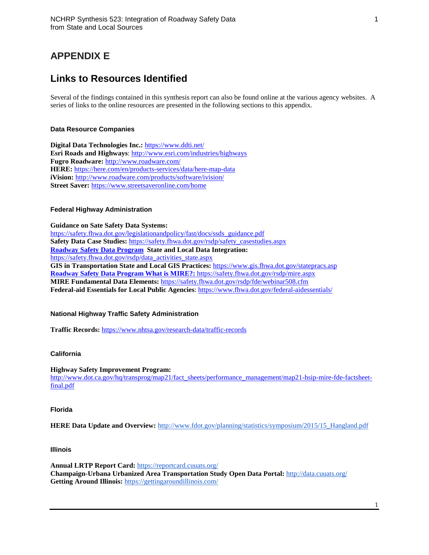# **APPENDIX E**

# **Links to Resources Identified**

Several of the findings contained in this synthesis report can also be found online at the various agency websites. A series of links to the online resources are presented in the following sections to this appendix.

# **Data Resource Companies**

**Digital Data Technologies Inc.:** <https://www.ddti.net/> **Esri Roads and Highways**[: http://www.esri.com/industries/highways](http://www.esri.com/industries/highways) **Fugro Roadware:** <http://www.roadware.com/> **HERE:** <https://here.com/en/products-services/data/here-map-data> **iVision:** <http://www.roadware.com/products/software/ivision/> **Street Saver:** <https://www.streetsaveronline.com/home>

# **Federal Highway Administration**

**Guidance on Sate Safety Data Systems:**  [https://safety.fhwa.dot.gov/legislationandpolicy/fast/docs/ssds\\_guidance.pdf](https://safety.fhwa.dot.gov/legislationandpolicy/fast/docs/ssds_guidance.pdf) **Safety Data Case Studies:** [https://safety.fhwa.dot.gov/rsdp/safety\\_casestudies.aspx](https://safety.fhwa.dot.gov/rsdp/safety_casestudies.aspx) **Roadway Safety Data Program State and Local Data Integration:**  [https://safety.fhwa.dot.gov/rsdp/data\\_activities\\_state.aspx](https://safety.fhwa.dot.gov/rsdp/data_activities_state.aspx) **GIS in Transportation State and Local GIS Practices:** <https://www.gis.fhwa.dot.gov/statepracs.asp> **Roadway Safety Data Program What is MIRE?:** <https://safety.fhwa.dot.gov/rsdp/mire.aspx> **MIRE Fundamental Data Elements:** <https://safety.fhwa.dot.gov/rsdp/fde/webinar508.cfm> **Federal-aid Essentials for Local Public Agencies**:<https://www.fhwa.dot.gov/federal-aidessentials/>

## **National Highway Traffic Safety Administration**

**Traffic Records:** <https://www.nhtsa.gov/research-data/traffic-records>

## **California**

**Highway Safety Improvement Program:** 

[http://www.dot.ca.gov/hq/transprog/map21/fact\\_sheets/performance\\_management/map21-hsip-mire-fde-factsheet](http://www.dot.ca.gov/hq/transprog/map21/fact_sheets/performance_management/map21-hsip-mire-fde-factsheet-final.pdf)[final.pdf](http://www.dot.ca.gov/hq/transprog/map21/fact_sheets/performance_management/map21-hsip-mire-fde-factsheet-final.pdf)

## **Florida**

**HERE Data Update and Overview:** [http://www.fdot.gov/planning/statistics/symposium/2015/15\\_Hangland.pdf](http://www.fdot.gov/planning/statistics/symposium/2015/15_Hangland.pdf)

## **Illinois**

**Annual LRTP Report Card:** [https://reportcard.cuuats.org/](https://na01.safelinks.protection.outlook.com/?url=https%3A%2F%2Freportcard.cuuats.org%2F&data=02%7C01%7Cseri.park%40villanova.edu%7C77afb142f04e45655a6908d475e90063%7C765a8de5cf9444f09cafae5bf8cfa366%7C0%7C0%7C636263090971162339&sdata=HB%2FpmULjLQP7sK69BeC3lonMGyKB9SdZeEfSwwmjAsE%3D&reserved=0) **Champaign-Urbana Urbanized Area Transportation Study Open Data Portal:** [http://data.cuuats.org/](https://na01.safelinks.protection.outlook.com/?url=http%3A%2F%2Fdata.cuuats.org%2F&data=02%7C01%7Cseri.park%40villanova.edu%7Ccedece411c304c47fecd08d475e8ee10%7C765a8de5cf9444f09cafae5bf8cfa366%7C0%7C0%7C636263090658970249&sdata=PYl0cJGH0TBNsFYo4p9eBTq3Q1fqlvRs4x4CZYiRLzQ%3D&reserved=0) **Getting Around Illinois:** <https://gettingaroundillinois.com/>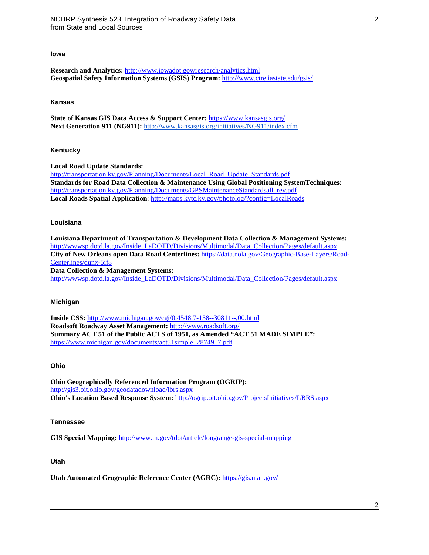## **Iowa**

**Research and Analytics:** <http://www.iowadot.gov/research/analytics.html> **Geospatial Safety Information Systems (GSIS) Program:** <http://www.ctre.iastate.edu/gsis/>

#### **Kansas**

**State of Kansas GIS Data Access & Support Center:** <https://www.kansasgis.org/> **Next Generation 911 (NG911):** [http://www.kansasgis.org/initiatives/NG911/index.cfm](https://na01.safelinks.protection.outlook.com/?url=http%3A%2F%2Fwww.kansasgis.org%2Finitiatives%2FNG911%2Findex.cfm&data=02%7C01%7Cseri.park%40villanova.edu%7C1956a0285b65412605f808d4778262fc%7C765a8de5cf9444f09cafae5bf8cfa366%7C0%7C0%7C636264849412435492&sdata=wz9G4k9m2O4PMv2DmKp13%2Bs3WgpA7OO%2B7LG4jMd%2BiKc%3D&reserved=0)

#### **Kentucky**

**Local Road Update Standards:**  [http://transportation.ky.gov/Planning/Documents/Local\\_Road\\_Update\\_Standards.pdf](http://transportation.ky.gov/Planning/Documents/Local_Road_Update_Standards.pdf) **Standards for Road Data Collection & Maintenance Using Global Positioning SystemTechniques:** [http://transportation.ky.gov/Planning/Documents/GPSMaintenanceStandardsall\\_rev.pdf](http://transportation.ky.gov/Planning/Documents/GPSMaintenanceStandardsall_rev.pdf) **Local Roads Spatial Application**:<http://maps.kytc.ky.gov/photolog/?config=LocalRoads>

#### **Louisiana**

**Louisiana Department of Transportation & Development Data Collection & Management Systems:**  [http://wwwsp.dotd.la.gov/Inside\\_LaDOTD/Divisions/Multimodal/Data\\_Collection/Pages/default.aspx](http://wwwsp.dotd.la.gov/Inside_LaDOTD/Divisions/Multimodal/Data_Collection/Pages/default.aspx) **City of New Orleans open Data Road Centerlines:** [https://data.nola.gov/Geographic-Base-Layers/Road-](https://data.nola.gov/Geographic-Base-Layers/Road-Centerlines/dunx-5if8)[Centerlines/dunx-5if8](https://data.nola.gov/Geographic-Base-Layers/Road-Centerlines/dunx-5if8) **Data Collection & Management Systems:**  [http://wwwsp.dotd.la.gov/Inside\\_LaDOTD/Divisions/Multimodal/Data\\_Collection/Pages/default.aspx](http://wwwsp.dotd.la.gov/Inside_LaDOTD/Divisions/Multimodal/Data_Collection/Pages/default.aspx)

### **Michigan**

**Inside CSS:** <http://www.michigan.gov/cgi/0,4548,7-158--30811--,00.html> **Roadsoft Roadway Asset Management:** [http://www.roadsoft.org/](http://www.roadsoft.org/about) **Summary ACT 51 of the Public ACTS of 1951, as Amended "ACT 51 MADE SIMPLE":**  [https://www.michigan.gov/documents/act51simple\\_28749\\_7.pdf](https://www.michigan.gov/documents/act51simple_28749_7.pdf)

## **Ohio**

**Ohio Geographically Referenced Information Program (OGRIP):**  <http://gis3.oit.ohio.gov/geodatadownload/lbrs.aspx> **Ohio's Location Based Response System:** <http://ogrip.oit.ohio.gov/ProjectsInitiatives/LBRS.aspx>

### **Tennessee**

**GIS Special Mapping:** <http://www.tn.gov/tdot/article/longrange-gis-special-mapping>

## **Utah**

**Utah Automated Geographic Reference Center (AGRC):** <https://gis.utah.gov/>